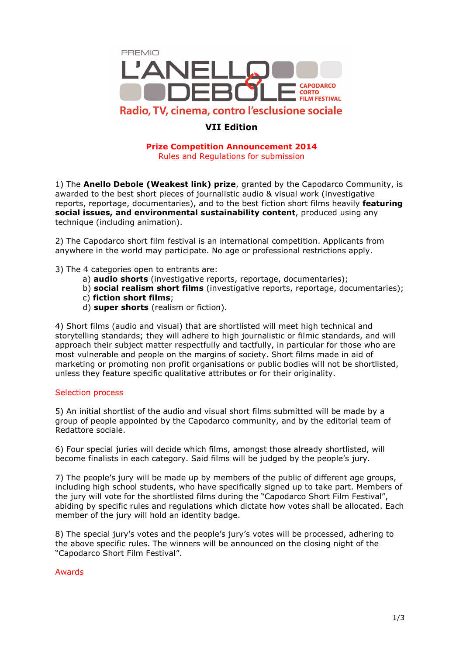

# **[VII Edition](www.premioanellodebole.it)**

## **Prize Competition Announcement 2014**  Rules and Regulations for submission

1) The **Anello Debole (Weakest link) prize**, granted by the Capodarco Community, is awarded to the best short pieces of journalistic audio & visual work (investigative reports, reportage, documentaries), and to the best fiction short films heavily **featuring social issues, and environmental sustainability content**, produced using any technique (including animation).

2) The Capodarco short film festival is an international competition. Applicants from anywhere in the world may participate. No age or professional restrictions apply.

- 3) The 4 categories open to entrants are:
	- a) **audio shorts** (investigative reports, reportage, documentaries);
	- b) **social realism short films** (investigative reports, reportage, documentaries);
	- c) **fiction short films**;
	- d) **super shorts** (realism or fiction).

4) Short films (audio and visual) that are shortlisted will meet high technical and storytelling standards; they will adhere to high journalistic or filmic standards, and will approach their subject matter respectfully and tactfully, in particular for those who are most vulnerable and people on the margins of society. Short films made in aid of marketing or promoting non profit organisations or public bodies will not be shortlisted, unless they feature specific qualitative attributes or for their originality.

### Selection process

5) An initial shortlist of the audio and visual short films submitted will be made by a group of people appointed by the Capodarco community, and by the editorial team of Redattore sociale.

6) Four special juries will decide which films, amongst those already shortlisted, will become finalists in each category. Said films will be judged by the people's jury.

7) The people's jury will be made up by members of the public of different age groups, including high school students, who have specifically signed up to take part. Members of the jury will vote for the shortlisted films during the "Capodarco Short Film Festival", abiding by specific rules and regulations which dictate how votes shall be allocated. Each member of the jury will hold an identity badge.

8) The special jury's votes and the people's jury's votes will be processed, adhering to the above specific rules. The winners will be announced on the closing night of the "Capodarco Short Film Festival".

# Awards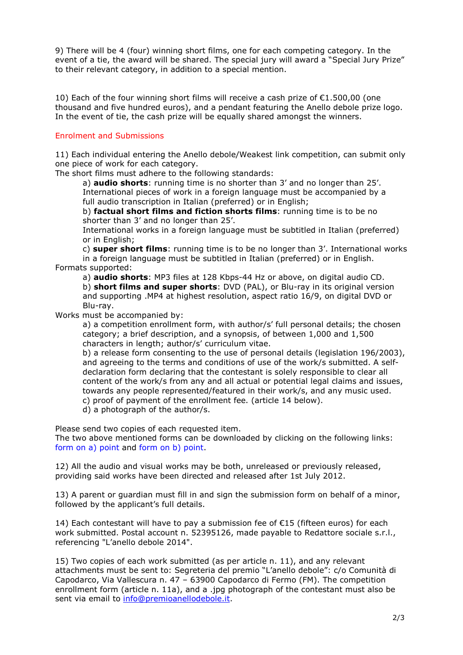9) There will be 4 (four) winning short films, one for each competing category. In the event of a tie, the award will be shared. The special jury will award a "Special Jury Prize" to their relevant category, in addition to a special mention.

10) Each of the four winning short films will receive a cash prize of €1.500,00 (one thousand and five hundred euros), and a pendant featuring the Anello debole prize logo. In the event of tie, the cash prize will be equally shared amongst the winners.

## Enrolment and Submissions

11) Each individual entering the Anello debole/Weakest link competition, can submit only one piece of work for each category.

The short films must adhere to the following standards:

a) **audio shorts**: running time is no shorter than 3' and no longer than 25'. International pieces of work in a foreign language must be accompanied by a full audio transcription in Italian (preferred) or in English;

b) **factual short films and fiction shorts films**: running time is to be no shorter than 3' and no longer than 25'.

 International works in a foreign language must be subtitled in Italian (preferred) or in English;

c) **super short films**: running time is to be no longer than 3'. International works

in a foreign language must be subtitled in Italian (preferred) or in English. Formats supported:

 a) **audio shorts**: MP3 files at 128 Kbps-44 Hz or above, on digital audio CD. b) **short films and super shorts**: DVD (PAL), or Blu-ray in its original version and supporting .MP4 at highest resolution, aspect ratio 16/9, on digital DVD or Blu-ray.

Works must be accompanied by:

 a) a competition enrollment form, with author/s' full personal details; the chosen category; a brief description, and a synopsis, of between 1,000 and 1,500 characters in length; author/s' curriculum vitae.

b) a release form consenting to the use of personal details (legislation 196/2003), and agreeing to the terms and conditions of use of the work/s submitted. A selfdeclaration form declaring that the contestant is solely responsible to clear all content of the work/s from any and all actual or potential legal claims and issues, towards any people represented/featured in their work/s, and any music used. c) proof of payment of the enrollment fee. (article 14 below).

d) a photograph of the author/s.

Please send two copies of each requested item.

The two above mentioned forms can be downloaded by clicking on the following links: [form on a\) point a](http://www.premioanellodebole.it/risorse/Anello_debole_2014_REGISTRATION_FORM_ENG.pdf)n[d form on b\) point.](http://www.premioanellodebole.it/risorse/Anello_debole_2014_RELEASE_FORM_ENG.pdf) 

12) All the audio and visual works may be both, unreleased or previously released, providing said works have been directed and released after 1st July 2012.

13) A parent or guardian must fill in and sign the submission form on behalf of a minor, followed by the applicant's full details.

14) Each contestant will have to pay a submission fee of €15 (fifteen euros) for each work submitted. Postal account n. 52395126, made payable to Redattore sociale s.r.l., referencing "L'anello debole 2014".

15) Two copies of each work submitted (as per article n. 11), and any relevant attachments must be sent to: Segreteria del premio "L'anello debole": c/o Comunità di Capodarco, Via Vallescura n. 47 – 63900 Capodarco di Fermo (FM). The competition enrollment form (article n. 11a), and a .jpg photograph of the contestant must also be sent via email to info@premioanellodebole.it.